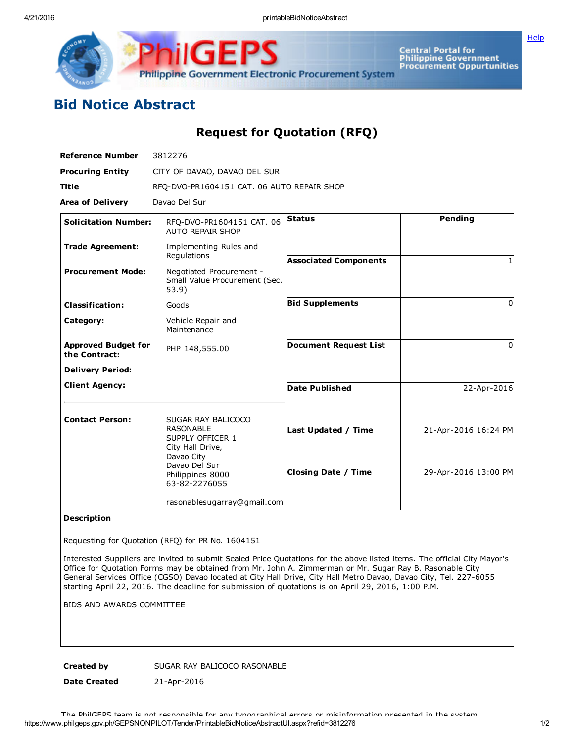**[Help](javascript:void(window.open()** 



Central Portal for<br>Philippine Government<br>Procurement Oppurtunities

## Bid Notice Abstract

Request for Quotation (RFQ)

| <b>Reference Number</b>                     | 3812276                                                                                 |                              |                      |
|---------------------------------------------|-----------------------------------------------------------------------------------------|------------------------------|----------------------|
| <b>Procuring Entity</b>                     | CITY OF DAVAO, DAVAO DEL SUR                                                            |                              |                      |
| <b>Title</b>                                | RFQ-DVO-PR1604151 CAT. 06 AUTO REPAIR SHOP                                              |                              |                      |
| <b>Area of Delivery</b>                     | Davao Del Sur                                                                           |                              |                      |
| <b>Solicitation Number:</b>                 | RFO-DVO-PR1604151 CAT. 06<br><b>AUTO REPAIR SHOP</b>                                    | <b>Status</b>                | Pending              |
| <b>Trade Agreement:</b>                     | Implementing Rules and<br>Regulations                                                   | <b>Associated Components</b> |                      |
| <b>Procurement Mode:</b>                    | Negotiated Procurement -<br>Small Value Procurement (Sec.<br>53.9)                      |                              |                      |
| <b>Classification:</b>                      | Goods                                                                                   | <b>Bid Supplements</b>       | <sup>0</sup>         |
| Category:                                   | Vehicle Repair and<br>Maintenance                                                       |                              |                      |
| <b>Approved Budget for</b><br>the Contract: | PHP 148,555.00                                                                          | <b>Document Request List</b> | 0                    |
| <b>Delivery Period:</b>                     |                                                                                         |                              |                      |
| <b>Client Agency:</b>                       |                                                                                         | Date Published               | 22-Apr-2016          |
| <b>Contact Person:</b>                      | SUGAR RAY BALICOCO                                                                      |                              |                      |
|                                             | <b>RASONABLE</b><br>SUPPLY OFFICER 1<br>City Hall Drive,<br>Davao City<br>Davao Del Sur | Last Updated / Time          | 21-Apr-2016 16:24 PM |
|                                             | Philippines 8000<br>63-82-2276055                                                       | <b>Closing Date / Time</b>   | 29-Apr-2016 13:00 PM |
|                                             | rasonablesugarray@gmail.com                                                             |                              |                      |

## Description

Requesting for Quotation (RFQ) for PR No. 1604151

Interested Suppliers are invited to submit Sealed Price Quotations for the above listed items. The official City Mayor's Office for Quotation Forms may be obtained from Mr. John A. Zimmerman or Mr. Sugar Ray B. Rasonable City General Services Office (CGSO) Davao located at City Hall Drive, City Hall Metro Davao, Davao City, Tel. 227-6055 starting April 22, 2016. The deadline for submission of quotations is on April 29, 2016, 1:00 P.M.

BIDS AND AWARDS COMMITTEE

Created by SUGAR RAY BALICOCO RASONABLE

Date Created 21-Apr-2016